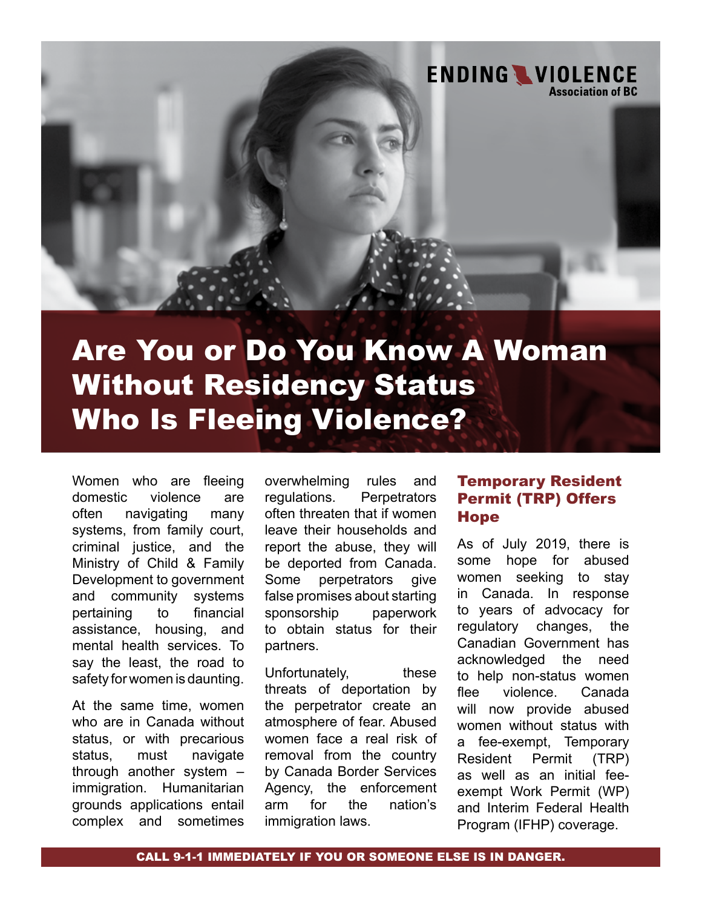

# Are You or Do You Know A Woman Without Residency Status Who Is Fleeing Violence?

Women who are fleeing domestic violence are often navigating many systems, from family court, criminal justice, and the Ministry of Child & Family Development to government and community systems pertaining to financial assistance, housing, and mental health services. To say the least, the road to safety for women is daunting.

At the same time, women who are in Canada without status, or with precarious status, must navigate through another system – immigration. Humanitarian grounds applications entail complex and sometimes

overwhelming rules and regulations. Perpetrators often threaten that if women leave their households and report the abuse, they will be deported from Canada. Some perpetrators give false promises about starting sponsorship paperwork to obtain status for their partners.

Unfortunately, these threats of deportation by the perpetrator create an atmosphere of fear. Abused women face a real risk of removal from the country by Canada Border Services Agency, the enforcement arm for the nation's immigration laws.

### Temporary Resident Permit (TRP) Offers **Hope**

As of July 2019, there is some hope for abused women seeking to stay in Canada. In response to years of advocacy for regulatory changes, the Canadian Government has acknowledged the need to help non-status women flee violence. Canada will now provide abused women without status with a fee-exempt, Temporary Resident Permit (TRP) as well as an initial feeexempt Work Permit (WP) and Interim Federal Health Program (IFHP) coverage.